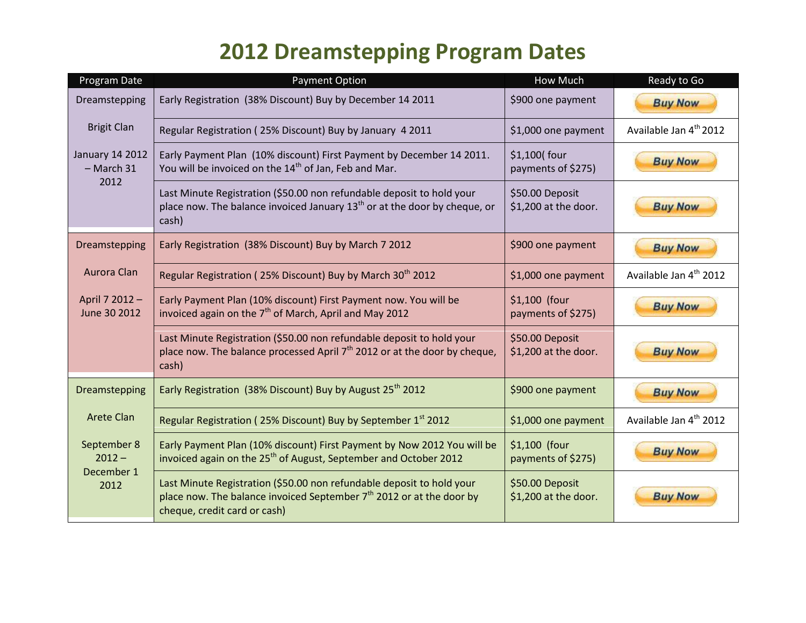## **2012 Dreamstepping Program Dates**

| Program Date                           | <b>Payment Option</b>                                                                                                                                                           | How Much                                | Ready to Go                        |
|----------------------------------------|---------------------------------------------------------------------------------------------------------------------------------------------------------------------------------|-----------------------------------------|------------------------------------|
| Dreamstepping                          | Early Registration (38% Discount) Buy by December 14 2011                                                                                                                       | \$900 one payment                       | <b>Buy Now</b>                     |
| <b>Brigit Clan</b>                     | Regular Registration (25% Discount) Buy by January 4 2011                                                                                                                       | \$1,000 one payment                     | Available Jan 4 <sup>th</sup> 2012 |
| <b>January 14 2012</b><br>$-$ March 31 | Early Payment Plan (10% discount) First Payment by December 14 2011.<br>You will be invoiced on the 14 <sup>th</sup> of Jan, Feb and Mar.                                       | $$1,100$ four<br>payments of \$275)     | <b>Buy Now</b>                     |
| 2012                                   | Last Minute Registration (\$50.00 non refundable deposit to hold your<br>place now. The balance invoiced January $13th$ or at the door by cheque, or<br>cash)                   | \$50.00 Deposit<br>\$1,200 at the door. | <b>Buy Now</b>                     |
| Dreamstepping                          | Early Registration (38% Discount) Buy by March 7 2012                                                                                                                           | \$900 one payment                       | <b>Buy Now</b>                     |
| Aurora Clan                            | Regular Registration (25% Discount) Buy by March 30 <sup>th</sup> 2012                                                                                                          | \$1,000 one payment                     | Available Jan 4 <sup>th</sup> 2012 |
| April 7 2012 -<br>June 30 2012         | Early Payment Plan (10% discount) First Payment now. You will be<br>invoiced again on the $7th$ of March, April and May 2012                                                    | \$1,100 (four<br>payments of \$275)     | <b>Buy Now</b>                     |
|                                        | Last Minute Registration (\$50.00 non refundable deposit to hold your<br>place now. The balance processed April 7 <sup>th</sup> 2012 or at the door by cheque,<br>cash)         | \$50.00 Deposit<br>\$1,200 at the door. | <b>Buy Now</b>                     |
| Dreamstepping                          | Early Registration (38% Discount) Buy by August 25 <sup>th</sup> 2012                                                                                                           | \$900 one payment                       | <b>Buy Now</b>                     |
| <b>Arete Clan</b>                      | Regular Registration (25% Discount) Buy by September 1 <sup>st</sup> 2012                                                                                                       | \$1,000 one payment                     | Available Jan 4 <sup>th</sup> 2012 |
| September 8<br>$2012 -$<br>December 1  | Early Payment Plan (10% discount) First Payment by Now 2012 You will be<br>invoiced again on the 25 <sup>th</sup> of August, September and October 2012                         | \$1,100 (four<br>payments of \$275)     | <b>Buy Now</b>                     |
| 2012                                   | Last Minute Registration (\$50.00 non refundable deposit to hold your<br>place now. The balance invoiced September $7th$ 2012 or at the door by<br>cheque, credit card or cash) | \$50.00 Deposit<br>\$1,200 at the door. | <b>Buy Now</b>                     |